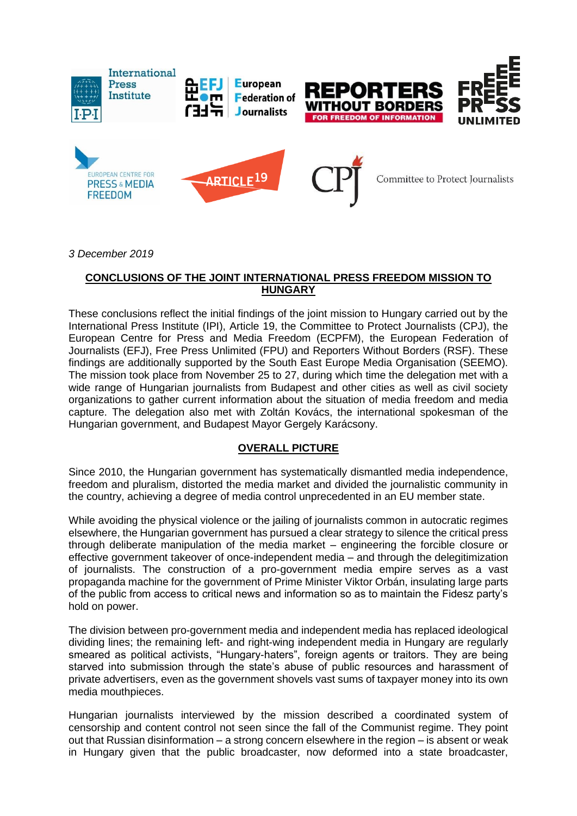

*3 December 2019*

### **CONCLUSIONS OF THE JOINT INTERNATIONAL PRESS FREEDOM MISSION TO HUNGARY**

These conclusions reflect the initial findings of the joint mission to Hungary carried out by the International Press Institute (IPI), Article 19, the Committee to Protect Journalists (CPJ), the European Centre for Press and Media Freedom (ECPFM), the European Federation of Journalists (EFJ), Free Press Unlimited (FPU) and Reporters Without Borders (RSF). These findings are additionally supported by the South East Europe Media Organisation (SEEMO). The mission took place from November 25 to 27, during which time the delegation met with a wide range of Hungarian journalists from Budapest and other cities as well as civil society organizations to gather current information about the situation of media freedom and media capture. The delegation also met with Zoltán Kovács, the international spokesman of the Hungarian government, and Budapest Mayor Gergely Karácsony.

#### **OVERALL PICTURE**

Since 2010, the Hungarian government has systematically dismantled media independence, freedom and pluralism, distorted the media market and divided the journalistic community in the country, achieving a degree of media control unprecedented in an EU member state.

While avoiding the physical violence or the jailing of journalists common in autocratic regimes elsewhere, the Hungarian government has pursued a clear strategy to silence the critical press through deliberate manipulation of the media market – engineering the forcible closure or effective government takeover of once-independent media – and through the delegitimization of journalists. The construction of a pro-government media empire serves as a vast propaganda machine for the government of Prime Minister Viktor Orbán, insulating large parts of the public from access to critical news and information so as to maintain the Fidesz party's hold on power.

The division between pro-government media and independent media has replaced ideological dividing lines; the remaining left- and right-wing independent media in Hungary are regularly smeared as political activists, "Hungary-haters", foreign agents or traitors. They are being starved into submission through the state's abuse of public resources and harassment of private advertisers, even as the government shovels vast sums of taxpayer money into its own media mouthpieces.

Hungarian journalists interviewed by the mission described a coordinated system of censorship and content control not seen since the fall of the Communist regime. They point out that Russian disinformation – a strong concern elsewhere in the region – is absent or weak in Hungary given that the public broadcaster, now deformed into a state broadcaster,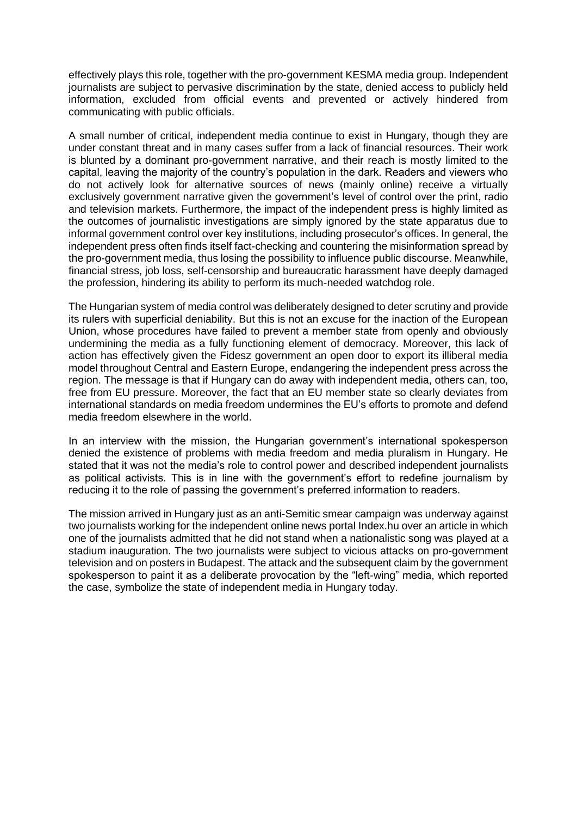effectively plays this role, together with the pro-government KESMA media group. Independent journalists are subject to pervasive discrimination by the state, denied access to publicly held information, excluded from official events and prevented or actively hindered from communicating with public officials.

A small number of critical, independent media continue to exist in Hungary, though they are under constant threat and in many cases suffer from a lack of financial resources. Their work is blunted by a dominant pro-government narrative, and their reach is mostly limited to the capital, leaving the majority of the country's population in the dark. Readers and viewers who do not actively look for alternative sources of news (mainly online) receive a virtually exclusively government narrative given the government's level of control over the print, radio and television markets. Furthermore, the impact of the independent press is highly limited as the outcomes of journalistic investigations are simply ignored by the state apparatus due to informal government control over key institutions, including prosecutor's offices. In general, the independent press often finds itself fact-checking and countering the misinformation spread by the pro-government media, thus losing the possibility to influence public discourse. Meanwhile, financial stress, job loss, self-censorship and bureaucratic harassment have deeply damaged the profession, hindering its ability to perform its much-needed watchdog role.

The Hungarian system of media control was deliberately designed to deter scrutiny and provide its rulers with superficial deniability. But this is not an excuse for the inaction of the European Union, whose procedures have failed to prevent a member state from openly and obviously undermining the media as a fully functioning element of democracy. Moreover, this lack of action has effectively given the Fidesz government an open door to export its illiberal media model throughout Central and Eastern Europe, endangering the independent press across the region. The message is that if Hungary can do away with independent media, others can, too, free from EU pressure. Moreover, the fact that an EU member state so clearly deviates from international standards on media freedom undermines the EU's efforts to promote and defend media freedom elsewhere in the world.

In an interview with the mission, the Hungarian government's international spokesperson denied the existence of problems with media freedom and media pluralism in Hungary. He stated that it was not the media's role to control power and described independent journalists as political activists. This is in line with the government's effort to redefine journalism by reducing it to the role of passing the government's preferred information to readers.

The mission arrived in Hungary just as an anti-Semitic smear campaign was underway against two journalists working for the independent online news portal Index.hu over an article in which one of the journalists admitted that he did not stand when a nationalistic song was played at a stadium inauguration. The two journalists were subject to vicious attacks on pro-government television and on posters in Budapest. The attack and the subsequent claim by the government spokesperson to paint it as a deliberate provocation by the "left-wing" media, which reported the case, symbolize the state of independent media in Hungary today.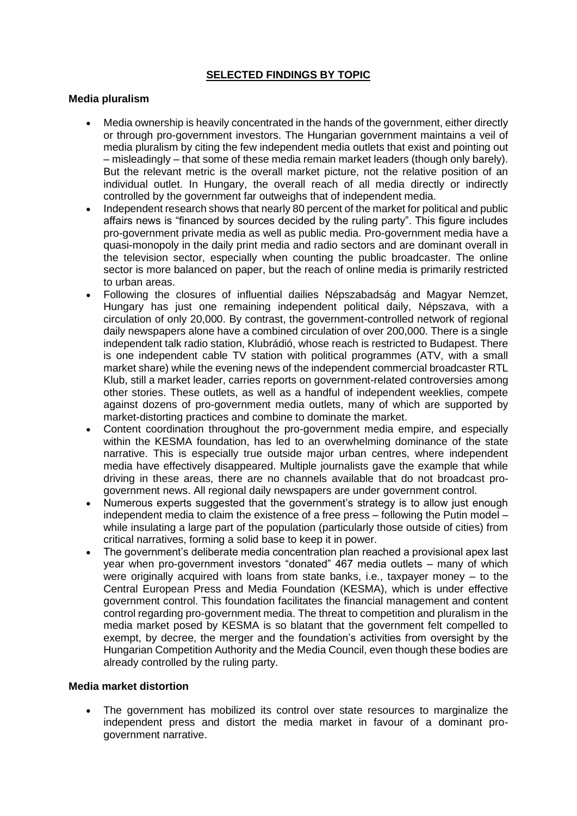# **SELECTED FINDINGS BY TOPIC**

#### **Media pluralism**

- Media ownership is heavily concentrated in the hands of the government, either directly or through pro-government investors. The Hungarian government maintains a veil of media pluralism by citing the few independent media outlets that exist and pointing out – misleadingly – that some of these media remain market leaders (though only barely). But the relevant metric is the overall market picture, not the relative position of an individual outlet. In Hungary, the overall reach of all media directly or indirectly controlled by the government far outweighs that of independent media.
- Independent research shows that nearly 80 percent of the market for political and public affairs news is "financed by sources decided by the ruling party". This figure includes pro-government private media as well as public media. Pro-government media have a quasi-monopoly in the daily print media and radio sectors and are dominant overall in the television sector, especially when counting the public broadcaster. The online sector is more balanced on paper, but the reach of online media is primarily restricted to urban areas.
- Following the closures of influential dailies Népszabadság and Magyar Nemzet, Hungary has just one remaining independent political daily, Népszava, with a circulation of only 20,000. By contrast, the government-controlled network of regional daily newspapers alone have a combined circulation of over 200,000. There is a single independent talk radio station, Klubrádió, whose reach is restricted to Budapest. There is one independent cable TV station with political programmes (ATV, with a small market share) while the evening news of the independent commercial broadcaster RTL Klub, still a market leader, carries reports on government-related controversies among other stories. These outlets, as well as a handful of independent weeklies, compete against dozens of pro-government media outlets, many of which are supported by market-distorting practices and combine to dominate the market.
- Content coordination throughout the pro-government media empire, and especially within the KESMA foundation, has led to an overwhelming dominance of the state narrative. This is especially true outside major urban centres, where independent media have effectively disappeared. Multiple journalists gave the example that while driving in these areas, there are no channels available that do not broadcast progovernment news. All regional daily newspapers are under government control.
- Numerous experts suggested that the government's strategy is to allow just enough independent media to claim the existence of a free press – following the Putin model – while insulating a large part of the population (particularly those outside of cities) from critical narratives, forming a solid base to keep it in power.
- The government's deliberate media concentration plan reached a provisional apex last year when pro-government investors "donated" 467 media outlets – many of which were originally acquired with loans from state banks, i.e., taxpayer money – to the Central European Press and Media Foundation (KESMA), which is under effective government control. This foundation facilitates the financial management and content control regarding pro-government media. The threat to competition and pluralism in the media market posed by KESMA is so blatant that the government felt compelled to exempt, by decree, the merger and the foundation's activities from oversight by the Hungarian Competition Authority and the Media Council, even though these bodies are already controlled by the ruling party.

#### **Media market distortion**

• The government has mobilized its control over state resources to marginalize the independent press and distort the media market in favour of a dominant progovernment narrative.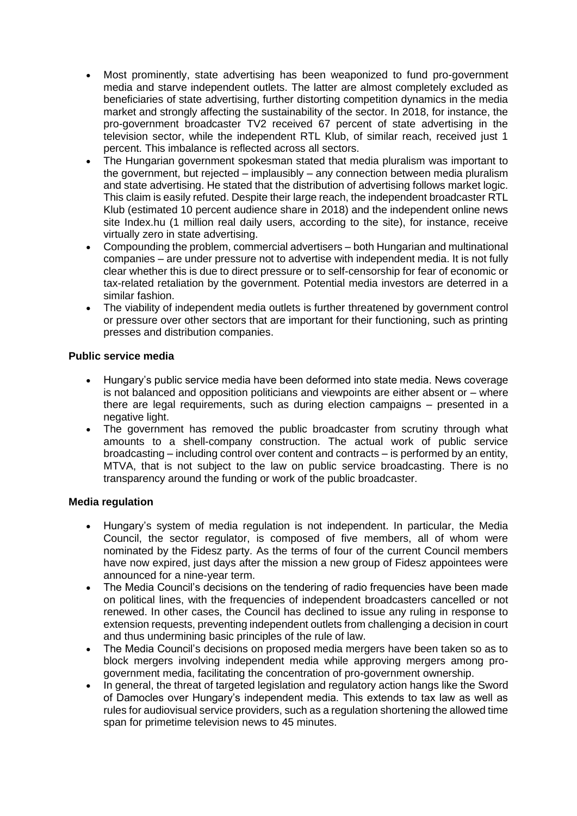- Most prominently, state advertising has been weaponized to fund pro-government media and starve independent outlets. The latter are almost completely excluded as beneficiaries of state advertising, further distorting competition dynamics in the media market and strongly affecting the sustainability of the sector. In 2018, for instance, the pro-government broadcaster TV2 received 67 percent of state advertising in the television sector, while the independent RTL Klub, of similar reach, received just 1 percent. This imbalance is reflected across all sectors.
- The Hungarian government spokesman stated that media pluralism was important to the government, but rejected – implausibly – any connection between media pluralism and state advertising. He stated that the distribution of advertising follows market logic. This claim is easily refuted. Despite their large reach, the independent broadcaster RTL Klub (estimated 10 percent audience share in 2018) and the independent online news site Index.hu (1 million real daily users, according to the site), for instance, receive virtually zero in state advertising.
- Compounding the problem, commercial advertisers both Hungarian and multinational companies – are under pressure not to advertise with independent media. It is not fully clear whether this is due to direct pressure or to self-censorship for fear of economic or tax-related retaliation by the government. Potential media investors are deterred in a similar fashion.
- The viability of independent media outlets is further threatened by government control or pressure over other sectors that are important for their functioning, such as printing presses and distribution companies.

# **Public service media**

- Hungary's public service media have been deformed into state media. News coverage is not balanced and opposition politicians and viewpoints are either absent or – where there are legal requirements, such as during election campaigns – presented in a negative light.
- The government has removed the public broadcaster from scrutiny through what amounts to a shell-company construction. The actual work of public service broadcasting – including control over content and contracts – is performed by an entity, MTVA, that is not subject to the law on public service broadcasting. There is no transparency around the funding or work of the public broadcaster.

#### **Media regulation**

- Hungary's system of media regulation is not independent. In particular, the Media Council, the sector regulator, is composed of five members, all of whom were nominated by the Fidesz party. As the terms of four of the current Council members have now expired, just days after the mission a new group of Fidesz appointees were announced for a nine-year term.
- The Media Council's decisions on the tendering of radio frequencies have been made on political lines, with the frequencies of independent broadcasters cancelled or not renewed. In other cases, the Council has declined to issue any ruling in response to extension requests, preventing independent outlets from challenging a decision in court and thus undermining basic principles of the rule of law.
- The Media Council's decisions on proposed media mergers have been taken so as to block mergers involving independent media while approving mergers among progovernment media, facilitating the concentration of pro-government ownership.
- In general, the threat of targeted legislation and regulatory action hangs like the Sword of Damocles over Hungary's independent media. This extends to tax law as well as rules for audiovisual service providers, such as a regulation shortening the allowed time span for primetime television news to 45 minutes.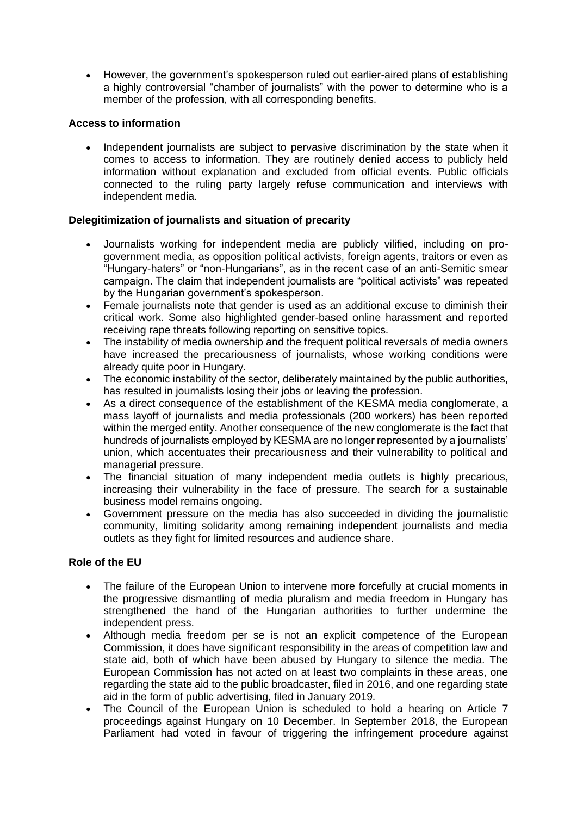• However, the government's spokesperson ruled out earlier-aired plans of establishing a highly controversial "chamber of journalists" with the power to determine who is a member of the profession, with all corresponding benefits.

# **Access to information**

• Independent journalists are subject to pervasive discrimination by the state when it comes to access to information. They are routinely denied access to publicly held information without explanation and excluded from official events. Public officials connected to the ruling party largely refuse communication and interviews with independent media.

# **Delegitimization of journalists and situation of precarity**

- Journalists working for independent media are publicly vilified, including on progovernment media, as opposition political activists, foreign agents, traitors or even as "Hungary-haters" or "non-Hungarians", as in the recent case of an anti-Semitic smear campaign. The claim that independent journalists are "political activists" was repeated by the Hungarian government's spokesperson.
- Female journalists note that gender is used as an additional excuse to diminish their critical work. Some also highlighted gender-based online harassment and reported receiving rape threats following reporting on sensitive topics.
- The instability of media ownership and the frequent political reversals of media owners have increased the precariousness of journalists, whose working conditions were already quite poor in Hungary.
- The economic instability of the sector, deliberately maintained by the public authorities, has resulted in journalists losing their jobs or leaving the profession.
- As a direct consequence of the establishment of the KESMA media conglomerate, a mass layoff of journalists and media professionals (200 workers) has been reported within the merged entity. Another consequence of the new conglomerate is the fact that hundreds of journalists employed by KESMA are no longer represented by a journalists' union, which accentuates their precariousness and their vulnerability to political and managerial pressure.
- The financial situation of many independent media outlets is highly precarious, increasing their vulnerability in the face of pressure. The search for a sustainable business model remains ongoing.
- Government pressure on the media has also succeeded in dividing the journalistic community, limiting solidarity among remaining independent journalists and media outlets as they fight for limited resources and audience share.

#### **Role of the EU**

- The failure of the European Union to intervene more forcefully at crucial moments in the progressive dismantling of media pluralism and media freedom in Hungary has strengthened the hand of the Hungarian authorities to further undermine the independent press.
- Although media freedom per se is not an explicit competence of the European Commission, it does have significant responsibility in the areas of competition law and state aid, both of which have been abused by Hungary to silence the media. The European Commission has not acted on at least two complaints in these areas, one regarding the state aid to the public broadcaster, filed in 2016, and one regarding state aid in the form of public advertising, filed in January 2019.
- The Council of the European Union is scheduled to hold a hearing on Article 7 proceedings against Hungary on 10 December. In September 2018, the European Parliament had voted in favour of triggering the infringement procedure against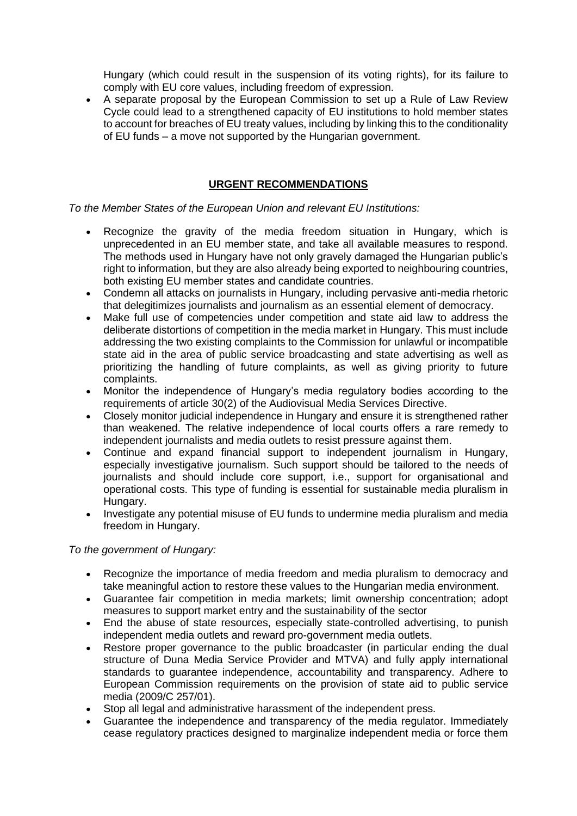Hungary (which could result in the suspension of its voting rights), for its failure to comply with EU core values, including freedom of expression.

• A separate proposal by the European Commission to set up a Rule of Law Review Cycle could lead to a strengthened capacity of EU institutions to hold member states to account for breaches of EU treaty values, including by linking this to the conditionality of EU funds – a move not supported by the Hungarian government.

### **URGENT RECOMMENDATIONS**

*To the Member States of the European Union and relevant EU Institutions:*

- Recognize the gravity of the media freedom situation in Hungary, which is unprecedented in an EU member state, and take all available measures to respond. The methods used in Hungary have not only gravely damaged the Hungarian public's right to information, but they are also already being exported to neighbouring countries, both existing EU member states and candidate countries.
- Condemn all attacks on journalists in Hungary, including pervasive anti-media rhetoric that delegitimizes journalists and journalism as an essential element of democracy.
- Make full use of competencies under competition and state aid law to address the deliberate distortions of competition in the media market in Hungary. This must include addressing the two existing complaints to the Commission for unlawful or incompatible state aid in the area of public service broadcasting and state advertising as well as prioritizing the handling of future complaints, as well as giving priority to future complaints.
- Monitor the independence of Hungary's media regulatory bodies according to the requirements of article 30(2) of the Audiovisual Media Services Directive.
- Closely monitor judicial independence in Hungary and ensure it is strengthened rather than weakened. The relative independence of local courts offers a rare remedy to independent journalists and media outlets to resist pressure against them.
- Continue and expand financial support to independent journalism in Hungary, especially investigative journalism. Such support should be tailored to the needs of journalists and should include core support, i.e., support for organisational and operational costs. This type of funding is essential for sustainable media pluralism in Hungary.
- Investigate any potential misuse of EU funds to undermine media pluralism and media freedom in Hungary.

#### *To the government of Hungary:*

- Recognize the importance of media freedom and media pluralism to democracy and take meaningful action to restore these values to the Hungarian media environment.
- Guarantee fair competition in media markets; limit ownership concentration; adopt measures to support market entry and the sustainability of the sector
- End the abuse of state resources, especially state-controlled advertising, to punish independent media outlets and reward pro-government media outlets.
- Restore proper governance to the public broadcaster (in particular ending the dual structure of Duna Media Service Provider and MTVA) and fully apply international standards to guarantee independence, accountability and transparency. Adhere to European Commission requirements on the provision of state aid to public service media (2009/C 257/01).
- Stop all legal and administrative harassment of the independent press.
- Guarantee the independence and transparency of the media regulator. Immediately cease regulatory practices designed to marginalize independent media or force them